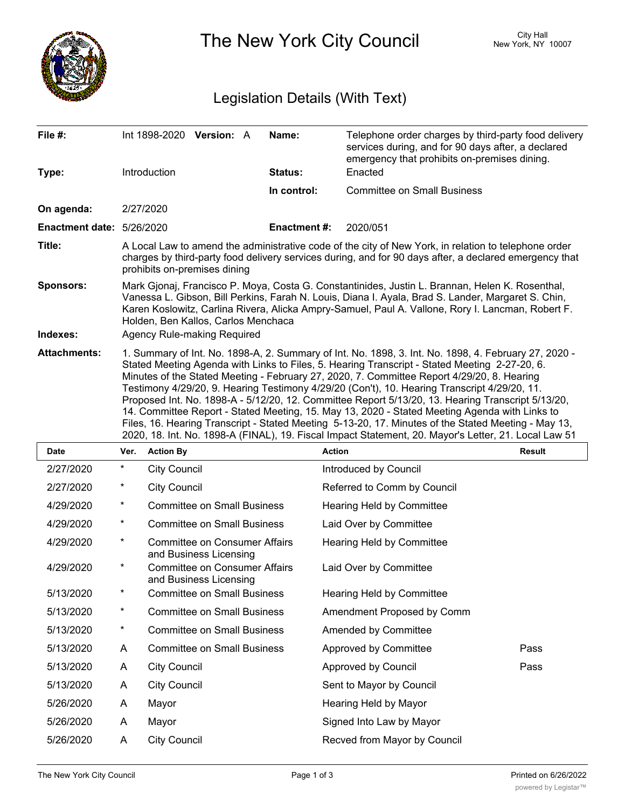

The New York City Council New York, NY 10007

## Legislation Details (With Text)

| File $#$ :                       | Int 1898-2020 Version: A                                                                                                                                                                                                                                                                                                                                                                                                                                                                                                                                                                                                                                                                                                                                                                                                 | Name:               | Telephone order charges by third-party food delivery<br>services during, and for 90 days after, a declared<br>emergency that prohibits on-premises dining. |  |  |
|----------------------------------|--------------------------------------------------------------------------------------------------------------------------------------------------------------------------------------------------------------------------------------------------------------------------------------------------------------------------------------------------------------------------------------------------------------------------------------------------------------------------------------------------------------------------------------------------------------------------------------------------------------------------------------------------------------------------------------------------------------------------------------------------------------------------------------------------------------------------|---------------------|------------------------------------------------------------------------------------------------------------------------------------------------------------|--|--|
| Type:                            | Introduction                                                                                                                                                                                                                                                                                                                                                                                                                                                                                                                                                                                                                                                                                                                                                                                                             | Status:             | Enacted                                                                                                                                                    |  |  |
|                                  |                                                                                                                                                                                                                                                                                                                                                                                                                                                                                                                                                                                                                                                                                                                                                                                                                          | In control:         | <b>Committee on Small Business</b>                                                                                                                         |  |  |
| On agenda:                       | 2/27/2020                                                                                                                                                                                                                                                                                                                                                                                                                                                                                                                                                                                                                                                                                                                                                                                                                |                     |                                                                                                                                                            |  |  |
| <b>Enactment date: 5/26/2020</b> |                                                                                                                                                                                                                                                                                                                                                                                                                                                                                                                                                                                                                                                                                                                                                                                                                          | <b>Enactment #:</b> | 2020/051                                                                                                                                                   |  |  |
| Title:                           | A Local Law to amend the administrative code of the city of New York, in relation to telephone order<br>charges by third-party food delivery services during, and for 90 days after, a declared emergency that<br>prohibits on-premises dining                                                                                                                                                                                                                                                                                                                                                                                                                                                                                                                                                                           |                     |                                                                                                                                                            |  |  |
| <b>Sponsors:</b>                 | Mark Gjonaj, Francisco P. Moya, Costa G. Constantinides, Justin L. Brannan, Helen K. Rosenthal,<br>Vanessa L. Gibson, Bill Perkins, Farah N. Louis, Diana I. Ayala, Brad S. Lander, Margaret S. Chin,<br>Karen Koslowitz, Carlina Rivera, Alicka Ampry-Samuel, Paul A. Vallone, Rory I. Lancman, Robert F.<br>Holden, Ben Kallos, Carlos Menchaca                                                                                                                                                                                                                                                                                                                                                                                                                                                                        |                     |                                                                                                                                                            |  |  |
| Indexes:                         | Agency Rule-making Required                                                                                                                                                                                                                                                                                                                                                                                                                                                                                                                                                                                                                                                                                                                                                                                              |                     |                                                                                                                                                            |  |  |
| <b>Attachments:</b>              | 1. Summary of Int. No. 1898-A, 2. Summary of Int. No. 1898, 3. Int. No. 1898, 4. February 27, 2020 -<br>Stated Meeting Agenda with Links to Files, 5. Hearing Transcript - Stated Meeting 2-27-20, 6.<br>Minutes of the Stated Meeting - February 27, 2020, 7. Committee Report 4/29/20, 8. Hearing<br>Testimony 4/29/20, 9. Hearing Testimony 4/29/20 (Con't), 10. Hearing Transcript 4/29/20, 11.<br>Proposed Int. No. 1898-A - 5/12/20, 12. Committee Report 5/13/20, 13. Hearing Transcript 5/13/20,<br>14. Committee Report - Stated Meeting, 15. May 13, 2020 - Stated Meeting Agenda with Links to<br>Files, 16. Hearing Transcript - Stated Meeting 5-13-20, 17. Minutes of the Stated Meeting - May 13,<br>2020, 18. Int. No. 1898-A (FINAL), 19. Fiscal Impact Statement, 20. Mayor's Letter, 21. Local Law 51 |                     |                                                                                                                                                            |  |  |

| <b>Date</b> | Ver.     | <b>Action By</b>                                               | <b>Action</b>                    | <b>Result</b> |
|-------------|----------|----------------------------------------------------------------|----------------------------------|---------------|
| 2/27/2020   | $\star$  | <b>City Council</b>                                            | Introduced by Council            |               |
| 2/27/2020   | $^\star$ | <b>City Council</b>                                            | Referred to Comm by Council      |               |
| 4/29/2020   | $^\star$ | <b>Committee on Small Business</b>                             | <b>Hearing Held by Committee</b> |               |
| 4/29/2020   | $^\star$ | <b>Committee on Small Business</b>                             | Laid Over by Committee           |               |
| 4/29/2020   | $\star$  | <b>Committee on Consumer Affairs</b><br>and Business Licensing | Hearing Held by Committee        |               |
| 4/29/2020   | $^\star$ | <b>Committee on Consumer Affairs</b><br>and Business Licensing | Laid Over by Committee           |               |
| 5/13/2020   | $^\star$ | <b>Committee on Small Business</b>                             | <b>Hearing Held by Committee</b> |               |
| 5/13/2020   | $^\star$ | <b>Committee on Small Business</b>                             | Amendment Proposed by Comm       |               |
| 5/13/2020   | $^\star$ | <b>Committee on Small Business</b>                             | Amended by Committee             |               |
| 5/13/2020   | A        | <b>Committee on Small Business</b>                             | Approved by Committee            | Pass          |
| 5/13/2020   | A        | <b>City Council</b>                                            | Approved by Council              | Pass          |
| 5/13/2020   | A        | <b>City Council</b>                                            | Sent to Mayor by Council         |               |
| 5/26/2020   | A        | Mayor                                                          | Hearing Held by Mayor            |               |
| 5/26/2020   | A        | Mayor                                                          | Signed Into Law by Mayor         |               |
| 5/26/2020   | A        | <b>City Council</b>                                            | Recved from Mayor by Council     |               |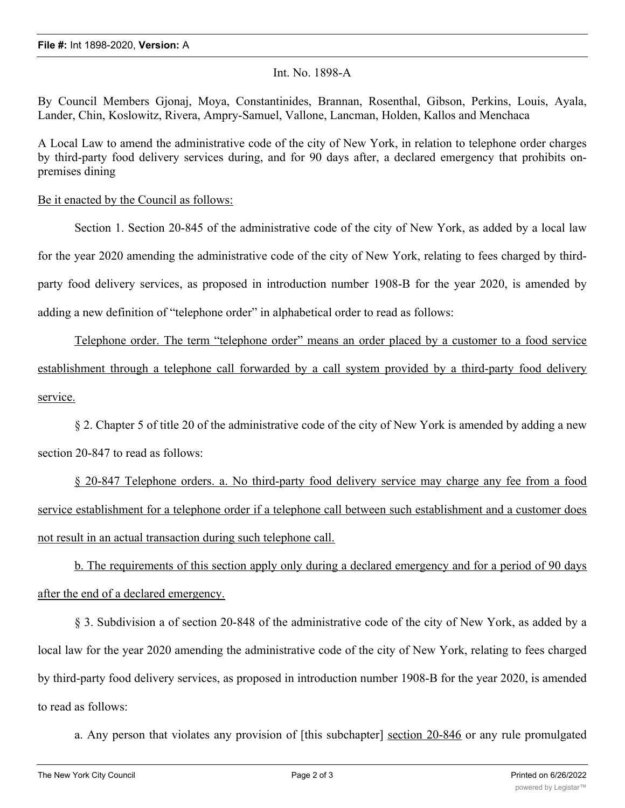## Int. No. 1898-A

By Council Members Gjonaj, Moya, Constantinides, Brannan, Rosenthal, Gibson, Perkins, Louis, Ayala, Lander, Chin, Koslowitz, Rivera, Ampry-Samuel, Vallone, Lancman, Holden, Kallos and Menchaca

A Local Law to amend the administrative code of the city of New York, in relation to telephone order charges by third-party food delivery services during, and for 90 days after, a declared emergency that prohibits onpremises dining

## Be it enacted by the Council as follows:

Section 1. Section 20-845 of the administrative code of the city of New York, as added by a local law for the year 2020 amending the administrative code of the city of New York, relating to fees charged by thirdparty food delivery services, as proposed in introduction number 1908-B for the year 2020, is amended by adding a new definition of "telephone order" in alphabetical order to read as follows:

Telephone order. The term "telephone order" means an order placed by a customer to a food service establishment through a telephone call forwarded by a call system provided by a third-party food delivery service.

§ 2. Chapter 5 of title 20 of the administrative code of the city of New York is amended by adding a new section 20-847 to read as follows:

§ 20-847 Telephone orders. a. No third-party food delivery service may charge any fee from a food service establishment for a telephone order if a telephone call between such establishment and a customer does not result in an actual transaction during such telephone call.

b. The requirements of this section apply only during a declared emergency and for a period of 90 days after the end of a declared emergency.

§ 3. Subdivision a of section 20-848 of the administrative code of the city of New York, as added by a local law for the year 2020 amending the administrative code of the city of New York, relating to fees charged by third-party food delivery services, as proposed in introduction number 1908-B for the year 2020, is amended to read as follows:

a. Any person that violates any provision of [this subchapter] section 20-846 or any rule promulgated